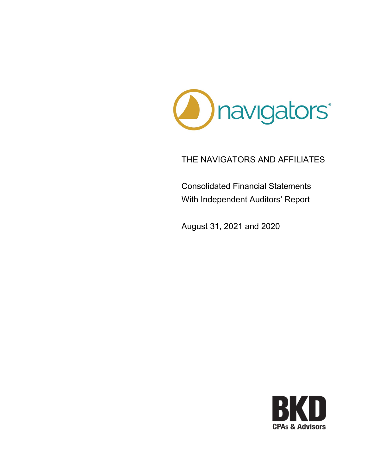

Consolidated Financial Statements With Independent Auditors' Report

August 31, 2021 and 2020

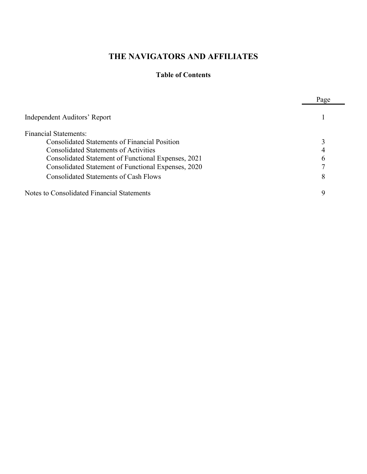# **Table of Contents**

|                                                      | Page |
|------------------------------------------------------|------|
| Independent Auditors' Report                         |      |
| <b>Financial Statements:</b>                         |      |
| <b>Consolidated Statements of Financial Position</b> |      |
| <b>Consolidated Statements of Activities</b>         |      |
| Consolidated Statement of Functional Expenses, 2021  |      |
| Consolidated Statement of Functional Expenses, 2020  |      |
| <b>Consolidated Statements of Cash Flows</b>         | 8    |
| Notes to Consolidated Financial Statements           |      |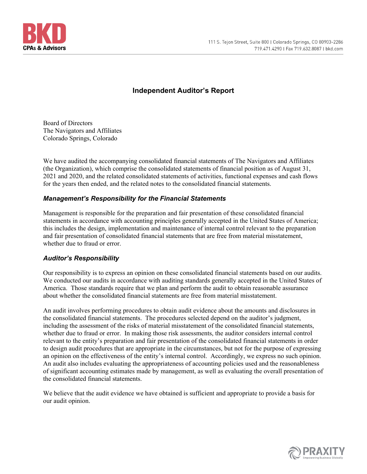

# **Independent Auditor's Report**

Board of Directors The Navigators and Affiliates Colorado Springs, Colorado

We have audited the accompanying consolidated financial statements of The Navigators and Affiliates (the Organization), which comprise the consolidated statements of financial position as of August 31, 2021 and 2020, and the related consolidated statements of activities, functional expenses and cash flows for the years then ended, and the related notes to the consolidated financial statements.

# *Management's Responsibility for the Financial Statements*

Management is responsible for the preparation and fair presentation of these consolidated financial statements in accordance with accounting principles generally accepted in the United States of America; this includes the design, implementation and maintenance of internal control relevant to the preparation and fair presentation of consolidated financial statements that are free from material misstatement, whether due to fraud or error.

# *Auditor's Responsibility*

Our responsibility is to express an opinion on these consolidated financial statements based on our audits. We conducted our audits in accordance with auditing standards generally accepted in the United States of America. Those standards require that we plan and perform the audit to obtain reasonable assurance about whether the consolidated financial statements are free from material misstatement.

An audit involves performing procedures to obtain audit evidence about the amounts and disclosures in the consolidated financial statements. The procedures selected depend on the auditor's judgment, including the assessment of the risks of material misstatement of the consolidated financial statements, whether due to fraud or error. In making those risk assessments, the auditor considers internal control relevant to the entity's preparation and fair presentation of the consolidated financial statements in order to design audit procedures that are appropriate in the circumstances, but not for the purpose of expressing an opinion on the effectiveness of the entity's internal control. Accordingly, we express no such opinion. An audit also includes evaluating the appropriateness of accounting policies used and the reasonableness of significant accounting estimates made by management, as well as evaluating the overall presentation of the consolidated financial statements.

We believe that the audit evidence we have obtained is sufficient and appropriate to provide a basis for our audit opinion.

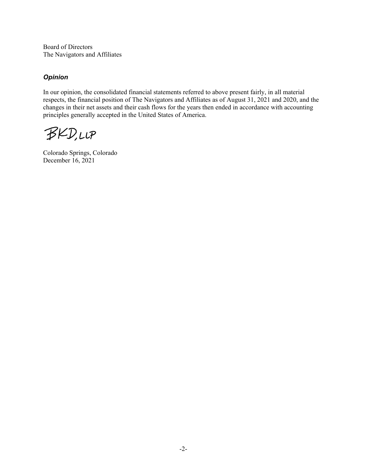Board of Directors The Navigators and Affiliates

# *Opinion*

In our opinion, the consolidated financial statements referred to above present fairly, in all material respects, the financial position of The Navigators and Affiliates as of August 31, 2021 and 2020, and the changes in their net assets and their cash flows for the years then ended in accordance with accounting principles generally accepted in the United States of America.

**BKD,LLP** 

Colorado Springs, Colorado December 16, 2021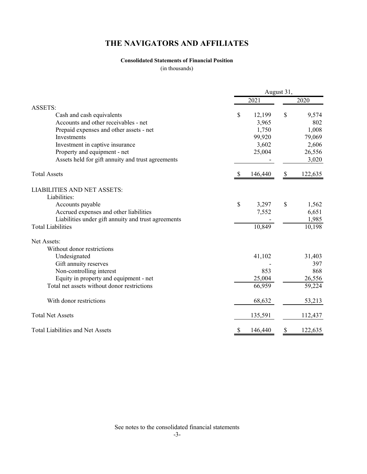# **Consolidated Statements of Financial Position**

(in thousands)

|                                                     |    |         | August 31, |         |
|-----------------------------------------------------|----|---------|------------|---------|
|                                                     |    | 2021    |            | 2020    |
| <b>ASSETS:</b>                                      |    |         |            |         |
| Cash and cash equivalents                           | \$ | 12,199  | \$         | 9,574   |
| Accounts and other receivables - net                |    | 3,965   |            | 802     |
| Prepaid expenses and other assets - net             |    | 1,750   |            | 1,008   |
| Investments                                         |    | 99,920  |            | 79,069  |
| Investment in captive insurance                     |    | 3,602   |            | 2,606   |
| Property and equipment - net                        |    | 25,004  |            | 26,556  |
| Assets held for gift annuity and trust agreements   |    |         |            | 3,020   |
| <b>Total Assets</b>                                 |    | 146,440 |            | 122,635 |
| <b>LIABILITIES AND NET ASSETS:</b>                  |    |         |            |         |
| Liabilities:                                        |    |         |            |         |
| Accounts payable                                    | \$ | 3,297   | S          | 1,562   |
| Accrued expenses and other liabilities              |    | 7,552   |            | 6,651   |
| Liabilities under gift annuity and trust agreements |    |         |            | 1,985   |
| <b>Total Liabilities</b>                            |    | 10,849  |            | 10,198  |
| Net Assets:                                         |    |         |            |         |
| Without donor restrictions                          |    |         |            |         |
| Undesignated                                        |    | 41,102  |            | 31,403  |
| Gift annuity reserves                               |    |         |            | 397     |
| Non-controlling interest                            |    | 853     |            | 868     |
| Equity in property and equipment - net              |    | 25,004  |            | 26,556  |
| Total net assets without donor restrictions         |    | 66,959  |            | 59,224  |
| With donor restrictions                             |    | 68,632  |            | 53,213  |
| <b>Total Net Assets</b>                             |    | 135,591 |            | 112,437 |
| <b>Total Liabilities and Net Assets</b>             | S  | 146,440 |            | 122,635 |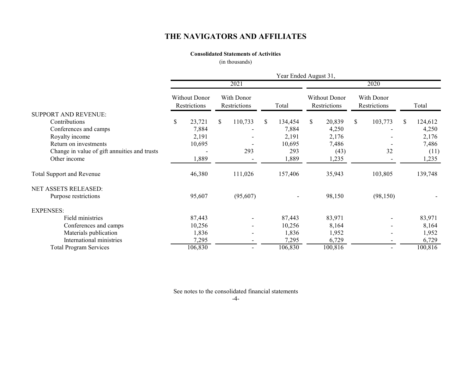## **Consolidated Statements of Activities**

(in thousands)

|                                              | Year Ended August 31,                |    |                            |    |         |      |                                      |              |                            |    |         |  |
|----------------------------------------------|--------------------------------------|----|----------------------------|----|---------|------|--------------------------------------|--------------|----------------------------|----|---------|--|
|                                              |                                      |    | 2021                       |    |         | 2020 |                                      |              |                            |    |         |  |
|                                              | <b>Without Donor</b><br>Restrictions |    | With Donor<br>Restrictions |    | Total   |      | <b>Without Donor</b><br>Restrictions |              | With Donor<br>Restrictions |    | Total   |  |
| SUPPORT AND REVENUE:                         |                                      |    |                            |    |         |      |                                      |              |                            |    |         |  |
| Contributions                                | \$<br>23,721                         | \$ | 110,733                    | S. | 134,454 | \$   | 20,839                               | $\mathbb{S}$ | 103,773                    | \$ | 124,612 |  |
| Conferences and camps                        | 7,884                                |    |                            |    | 7,884   |      | 4,250                                |              |                            |    | 4,250   |  |
| Royalty income                               | 2,191                                |    |                            |    | 2,191   |      | 2,176                                |              |                            |    | 2,176   |  |
| Return on investments                        | 10,695                               |    |                            |    | 10,695  |      | 7,486                                |              |                            |    | 7,486   |  |
| Change in value of gift annuities and trusts |                                      |    | 293                        |    | 293     |      | (43)                                 |              | 32                         |    | (11)    |  |
| Other income                                 | 1,889                                |    |                            |    | 1,889   |      | 1,235                                |              |                            |    | 1,235   |  |
| <b>Total Support and Revenue</b>             | 46,380                               |    | 111,026                    |    | 157,406 |      | 35,943                               |              | 103,805                    |    | 139,748 |  |
| NET ASSETS RELEASED:                         |                                      |    |                            |    |         |      |                                      |              |                            |    |         |  |
| Purpose restrictions                         | 95,607                               |    | (95,607)                   |    |         |      | 98,150                               |              | (98, 150)                  |    |         |  |
| <b>EXPENSES:</b>                             |                                      |    |                            |    |         |      |                                      |              |                            |    |         |  |
| Field ministries                             | 87,443                               |    |                            |    | 87,443  |      | 83,971                               |              |                            |    | 83,971  |  |
| Conferences and camps                        | 10,256                               |    |                            |    | 10,256  |      | 8,164                                |              |                            |    | 8,164   |  |
| Materials publication                        | 1,836                                |    |                            |    | 1,836   |      | 1,952                                |              |                            |    | 1,952   |  |
| International ministries                     | 7,295                                |    |                            |    | 7,295   |      | 6,729                                |              |                            |    | 6,729   |  |
| <b>Total Program Services</b>                | 106,830                              |    |                            |    | 106,830 |      | 100,816                              |              |                            |    | 100,816 |  |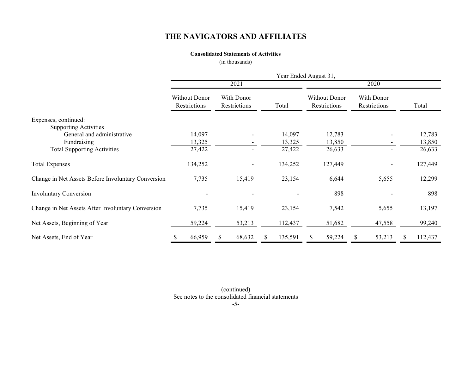## **Consolidated Statements of Activities**

(in thousands)

|                                                    |                                      |                            |   | Year Ended August 31, |    |                                      |                            |         |
|----------------------------------------------------|--------------------------------------|----------------------------|---|-----------------------|----|--------------------------------------|----------------------------|---------|
|                                                    |                                      | 2021                       |   |                       |    |                                      | 2020                       |         |
|                                                    | <b>Without Donor</b><br>Restrictions | With Donor<br>Restrictions |   | Total                 |    | <b>Without Donor</b><br>Restrictions | With Donor<br>Restrictions | Total   |
| Expenses, continued:                               |                                      |                            |   |                       |    |                                      |                            |         |
| <b>Supporting Activities</b>                       |                                      |                            |   |                       |    |                                      |                            |         |
| General and administrative                         | 14,097                               |                            |   | 14,097                |    | 12,783                               |                            | 12,783  |
| Fundraising                                        | 13,325                               |                            |   | 13,325                |    | 13,850                               |                            | 13,850  |
| <b>Total Supporting Activities</b>                 | 27,422                               |                            |   | 27,422                |    | 26,633                               |                            | 26,633  |
| <b>Total Expenses</b>                              | 134,252                              |                            |   | 134,252               |    | 127,449                              |                            | 127,449 |
| Change in Net Assets Before Involuntary Conversion | 7,735                                | 15,419                     |   | 23,154                |    | 6,644                                | 5,655                      | 12,299  |
| <b>Involuntary Conversion</b>                      |                                      |                            |   |                       |    | 898                                  |                            | 898     |
| Change in Net Assets After Involuntary Conversion  | 7,735                                | 15,419                     |   | 23,154                |    | 7,542                                | 5,655                      | 13,197  |
| Net Assets, Beginning of Year                      | 59,224                               | 53,213                     |   | 112,437               |    | 51,682                               | 47,558                     | 99,240  |
| Net Assets, End of Year                            | 66,959<br>\$                         | \$<br>68,632               | S | 135,591               | S. | 59,224                               | \$<br>53,213               | 112,437 |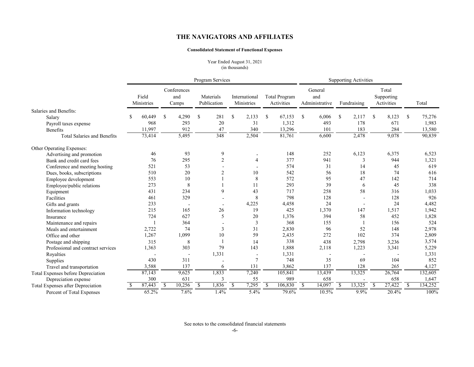### **Consolidated Statement of Functional Expenses**

Year Ended August 31, 2021 (in thousands)

|                                    | Program Services |                     |              |                             |               |                          | <b>Supporting Activities</b> |                             |    |                                    |              |                                  |               |             |     |                                   |               |         |
|------------------------------------|------------------|---------------------|--------------|-----------------------------|---------------|--------------------------|------------------------------|-----------------------------|----|------------------------------------|--------------|----------------------------------|---------------|-------------|-----|-----------------------------------|---------------|---------|
|                                    |                  | Field<br>Ministries |              | Conferences<br>and<br>Camps |               | Materials<br>Publication |                              | International<br>Ministries |    | <b>Total Program</b><br>Activities |              | General<br>and<br>Administrative |               | Fundraising |     | Total<br>Supporting<br>Activities |               | Total   |
| Salaries and Benefits:             |                  |                     |              |                             |               |                          |                              |                             |    |                                    |              |                                  |               |             |     |                                   |               |         |
| Salary                             | £.               | 60,449              | -S           | 4,290                       | £.            | 281                      | \$.                          | 2,133                       | \$ | 67,153                             | S            | 6,006                            | <sup>\$</sup> | 2,117       | S   | 8,123                             | <sup>\$</sup> | 75,276  |
| Payroll taxes expense              |                  | 968                 |              | 293                         |               | 20                       |                              | 31                          |    | 1,312                              |              | 493                              |               | 178         |     | 671                               |               | 1,983   |
| Benefits                           |                  | 11.997              |              | 912                         |               | 47                       |                              | 340                         |    | 13,296                             |              | 101                              |               | 183         |     | 284                               |               | 13,580  |
| <b>Total Salaries and Benefits</b> |                  | 73,414              |              | 5,495                       |               | 348                      |                              | 2,504                       |    | 81,761                             |              | 6,600                            |               | 2,478       |     | 9,078                             |               | 90,839  |
| Other Operating Expenses:          |                  |                     |              |                             |               |                          |                              |                             |    |                                    |              |                                  |               |             |     |                                   |               |         |
| Advertising and promotion          |                  | 46                  |              | 93                          |               | 9                        |                              |                             |    | 148                                |              | 252                              |               | 6,123       |     | 6,375                             |               | 6,523   |
| Bank and credit card fees          |                  | 76                  |              | 295                         |               | $\overline{2}$           |                              | 4                           |    | 377                                |              | 941                              |               | 3           |     | 944                               |               | 1,321   |
| Conference and meeting hosting     |                  | 521                 |              | 53                          |               |                          |                              |                             |    | 574                                |              | 31                               |               | 14          |     | 45                                |               | 619     |
| Dues, books, subscriptions         |                  | 510                 |              | 20                          |               | $\overline{2}$           |                              | 10                          |    | 542                                |              | 56                               |               | 18          |     | 74                                |               | 616     |
| Employee development               |                  | 553                 |              | 10                          |               |                          |                              | 8                           |    | 572                                |              | 95                               |               | 47          |     | 142                               |               | 714     |
| Employee/public relations          |                  | 273                 |              | 8                           |               |                          |                              | 11                          |    | 293                                |              | 39                               |               | 6           |     | 45                                |               | 338     |
| Equipment                          |                  | 431                 |              | 234                         |               | 9                        |                              | 43                          |    | 717                                |              | 258                              |               | 58          |     | 316                               |               | 1,033   |
| Facilities                         |                  | 461                 |              | 329                         |               |                          |                              | 8                           |    | 798                                |              | 128                              |               |             |     | 128                               |               | 926     |
| Gifts and grants                   |                  | 233                 |              |                             |               |                          |                              | 4,225                       |    | 4,458                              |              | 24                               |               |             |     | 24                                |               | 4,482   |
| Information technology             |                  | 215                 |              | 165                         |               | 26                       |                              | 19                          |    | 425                                |              | 1,370                            |               | 147         |     | 1,517                             |               | 1,942   |
| Insurance                          |                  | 724                 |              | 627                         |               | 5                        |                              | 20                          |    | 1,376                              |              | 394                              |               | 58          |     | 452                               |               | 1,828   |
| Maintenance and repairs            |                  |                     |              | 364                         |               |                          |                              | 3                           |    | 368                                |              | 155                              |               |             |     | 156                               |               | 524     |
| Meals and entertainment            |                  | 2,722               |              | 74                          |               | 3                        |                              | 31                          |    | 2,830                              |              | 96                               |               | 52          |     | 148                               |               | 2,978   |
| Office and other                   |                  | 1,267               |              | 1,099                       |               | 10                       |                              | 59                          |    | 2,435                              |              | 272                              |               | 102         |     | 374                               |               | 2,809   |
| Postage and shipping               |                  | 315                 |              | 8                           |               |                          |                              | 14                          |    | 338                                |              | 438                              |               | 2,798       |     | 3,236                             |               | 3,574   |
| Professional and contract services |                  | 1,363               |              | 303                         |               | 79                       |                              | 143                         |    | 1,888                              |              | 2,118                            |               | 1,223       |     | 3,341                             |               | 5,229   |
| Royalties                          |                  |                     |              |                             |               | 1,331                    |                              |                             |    | 1,331                              |              |                                  |               |             |     |                                   |               | 1,331   |
| Supplies                           |                  | 430                 |              | 311                         |               |                          |                              | 7                           |    | 748                                |              | 35                               |               | 69          |     | 104                               |               | 852     |
| Travel and transportation          |                  | 3,588               |              | 137                         |               | 6                        |                              | 131                         |    | 3,862                              |              | 137                              |               | 128         |     | 265                               |               | 4,127   |
| Total Expenses before Depreciation |                  | 87,143              |              | 9,625                       |               | 1,833                    |                              | 7,240                       |    | 105,841                            |              | 13,439                           |               | 13,325      |     | 26,764                            |               | 132,605 |
| Depreciation expense               |                  | 300                 |              | 631                         |               | 3                        |                              | 55                          |    | 989                                |              | 658                              |               |             |     | 658                               |               | 1,647   |
| Total Expenses after Depreciation  |                  | 87,443              | <sup>S</sup> | 10,256                      | <sup>\$</sup> | 1,836                    | <sup>\$</sup>                | 7,295                       | -S | 106,830                            | <sup>S</sup> | 14,097                           | <sup>\$</sup> | 13,325      | \$. | 27,422                            | <sup>\$</sup> | 134,252 |
| Percent of Total Expenses          |                  | 65.2%               |              | 7.6%                        |               | 1.4%                     |                              | 5.4%                        |    | 79.6%                              |              | 10.5%                            |               | 9.9%        |     | 20.4%                             |               | 100%    |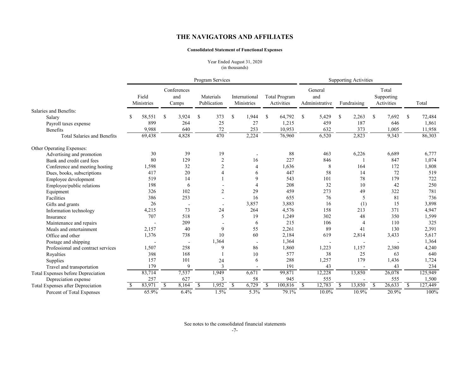### **Consolidated Statement of Functional Expenses**

Year Ended August 31, 2020 (in thousands)

|                                          | Program Services |                     |              |                             |               |                          | <b>Supporting Activities</b> |                             |               |                                    |              |                                  |               |             |               |                                   |               |         |
|------------------------------------------|------------------|---------------------|--------------|-----------------------------|---------------|--------------------------|------------------------------|-----------------------------|---------------|------------------------------------|--------------|----------------------------------|---------------|-------------|---------------|-----------------------------------|---------------|---------|
|                                          |                  | Field<br>Ministries |              | Conferences<br>and<br>Camps |               | Materials<br>Publication |                              | International<br>Ministries |               | <b>Total Program</b><br>Activities |              | General<br>and<br>Administrative |               | Fundraising |               | Total<br>Supporting<br>Activities |               | Total   |
| Salaries and Benefits:                   |                  |                     |              |                             |               |                          |                              |                             |               |                                    |              |                                  |               |             |               |                                   |               |         |
| Salary                                   | S                | 58,551              | S            | 3,924                       | S             | 373                      | \$.                          | 1,944                       | \$            | 64,792                             | S            | 5,429                            | <sup>\$</sup> | 2,263       | <sup>\$</sup> | 7,692                             | S             | 72,484  |
| Payroll taxes expense                    |                  | 899                 |              | 264                         |               | 25                       |                              | 27                          |               | 1,215                              |              | 459                              |               | 187         |               | 646                               |               | 1,861   |
| Benefits                                 |                  | 9.988               |              | 640                         |               | 72                       |                              | 253                         |               | 10.953                             |              | 632                              |               | 373         |               | 1,005                             |               | 11,958  |
| <b>Total Salaries and Benefits</b>       |                  | 69,438              |              | 4,828                       |               | 470                      |                              | 2,224                       |               | 76,960                             |              | 6,520                            |               | 2,823       |               | 9,343                             |               | 86,303  |
| Other Operating Expenses:                |                  |                     |              |                             |               |                          |                              |                             |               |                                    |              |                                  |               |             |               |                                   |               |         |
| Advertising and promotion                |                  | 30                  |              | 39                          |               | 19                       |                              |                             |               | 88                                 |              | 463                              |               | 6,226       |               | 6,689                             |               | 6,777   |
| Bank and credit card fees                |                  | 80                  |              | 129                         |               | $\overline{2}$           |                              | 16                          |               | 227                                |              | 846                              |               |             |               | 847                               |               | 1,074   |
| Conference and meeting hosting           |                  | 1,598               |              | 32                          |               | $\overline{2}$           |                              | $\overline{4}$              |               | 1,636                              |              | 8                                |               | 164         |               | 172                               |               | 1,808   |
| Dues, books, subscriptions               |                  | 417                 |              | 20                          |               | 4                        |                              | 6                           |               | 447                                |              | 58                               |               | 14          |               | 72                                |               | 519     |
| Employee development                     |                  | 519                 |              | 14                          |               |                          |                              | 9                           |               | 543                                |              | 101                              |               | 78          |               | 179                               |               | 722     |
| Employee/public relations                |                  | 198                 |              | 6                           |               |                          |                              | Δ                           |               | 208                                |              | 32                               |               | 10          |               | 42                                |               | 250     |
| Equipment                                |                  | 326                 |              | 102                         |               | $\overline{2}$           |                              | 29                          |               | 459                                |              | 273                              |               | 49          |               | 322                               |               | 781     |
| Facilities                               |                  | 386                 |              | 253                         |               |                          |                              | 16                          |               | 655                                |              | 76                               |               | 5           |               | 81                                |               | 736     |
| Gifts and grants                         |                  | 26                  |              |                             |               |                          |                              | 3,857                       |               | 3,883                              |              | 16                               |               | (1)         |               | 15                                |               | 3,898   |
| Information technology                   |                  | 4,215               |              | 73                          |               | 24                       |                              | 264                         |               | 4,576                              |              | 158                              |               | 213         |               | 371                               |               | 4,947   |
| Insurance                                |                  | 707                 |              | 518                         |               | 5                        |                              | 19                          |               | 1,249                              |              | 302                              |               | 48          |               | 350                               |               | 1,599   |
| Maintenance and repairs                  |                  |                     |              | 209                         |               |                          |                              | 6                           |               | 215                                |              | 106                              |               | 4           |               | 110                               |               | 325     |
| Meals and entertainment                  |                  | 2,157               |              | 40                          |               | 9                        |                              | 55                          |               | 2,261                              |              | 89                               |               | 41          |               | 130                               |               | 2,391   |
| Office and other                         |                  | 1,376               |              | 738                         |               | 10                       |                              | 60                          |               | 2,184                              |              | 619                              |               | 2,814       |               | 3,433                             |               | 5,617   |
| Postage and shipping                     |                  |                     |              |                             |               | 1,364                    |                              |                             |               | 1,364                              |              |                                  |               |             |               |                                   |               | 1,364   |
| Professional and contract services       |                  | 1,507               |              | 258                         |               | 9                        |                              | 86                          |               | 1,860                              |              | 1,223                            |               | 1,157       |               | 2,380                             |               | 4,240   |
| Royalties                                |                  | 398                 |              | 168                         |               |                          |                              | 10                          |               | 577                                |              | 38                               |               | 25          |               | 63                                |               | 640     |
| Supplies                                 |                  | 157                 |              | 101                         |               | 24                       |                              | 6                           |               | 288                                |              | 1,257                            |               | 179         |               | 1,436                             |               | 1,724   |
| Travel and transportation                |                  | 179                 |              | 9                           |               | $\overline{3}$           |                              |                             |               | 191                                |              | 43                               |               |             |               | 43                                |               | 234     |
| Total Expenses before Depreciation       |                  | 83,714              |              | 7,537                       |               | 1,949                    |                              | 6,671                       |               | 99,871                             |              | 12,228                           |               | 13,850      |               | 26,078                            |               | 125,949 |
| Depreciation expense                     |                  | 257                 |              | 627                         |               | 3                        |                              | 58                          |               | 945                                |              | 555                              |               |             |               | 555                               |               | 1,500   |
| <b>Total Expenses after Depreciation</b> |                  | 83,971              | <sup>S</sup> | 8,164                       | <sup>\$</sup> | 1,952                    | \$                           | 6,729                       | <sup>\$</sup> | 100,816                            | <sup>S</sup> | 12,783                           | <sup>S</sup>  | 13,850      | <sup>\$</sup> | 26,633                            | <sup>\$</sup> | 127,449 |
| Percent of Total Expenses                |                  | 65.9%               |              | 6.4%                        |               | 1.5%                     |                              | 5.3%                        |               | 79.1%                              |              | 10.0%                            |               | 10.9%       |               | 20.9%                             |               | 100%    |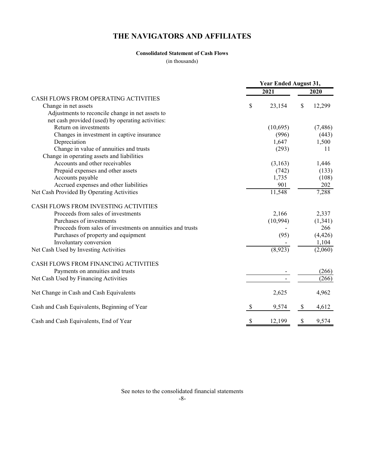# **Consolidated Statement of Cash Flows**

(in thousands)

|                                                            |                           | Year Ended August 31, |              |
|------------------------------------------------------------|---------------------------|-----------------------|--------------|
|                                                            |                           | 2021                  | 2020         |
| CASH FLOWS FROM OPERATING ACTIVITIES                       |                           |                       |              |
| Change in net assets                                       | \$                        | 23,154                | \$<br>12,299 |
| Adjustments to reconcile change in net assets to           |                           |                       |              |
| net cash provided (used) by operating activities:          |                           |                       |              |
| Return on investments                                      |                           | (10,695)              | (7,486)      |
| Changes in investment in captive insurance                 |                           | (996)                 | (443)        |
| Depreciation                                               |                           | 1,647                 | 1,500        |
| Change in value of annuities and trusts                    |                           | (293)                 | 11           |
| Change in operating assets and liabilities                 |                           |                       |              |
| Accounts and other receivables                             |                           | (3,163)               | 1,446        |
| Prepaid expenses and other assets                          |                           | (742)                 | (133)        |
| Accounts payable                                           |                           | 1,735                 | (108)        |
| Accrued expenses and other liabilities                     |                           | 901                   | 202          |
| Net Cash Provided By Operating Activities                  |                           | 11,548                | 7,288        |
| CASH FLOWS FROM INVESTING ACTIVITIES                       |                           |                       |              |
| Proceeds from sales of investments                         |                           | 2,166                 | 2,337        |
| Purchases of investments                                   |                           | (10, 994)             | (1,341)      |
| Proceeds from sales of investments on annuities and trusts |                           |                       | 266          |
| Purchases of property and equipment                        |                           | (95)                  | (4, 426)     |
| Involuntary conversion                                     |                           |                       | 1,104        |
| Net Cash Used by Investing Activities                      |                           | (8,923)               | (2,060)      |
| CASH FLOWS FROM FINANCING ACTIVITIES                       |                           |                       |              |
| Payments on annuities and trusts                           |                           |                       | (266)        |
| Net Cash Used by Financing Activities                      |                           |                       | (266)        |
| Net Change in Cash and Cash Equivalents                    |                           | 2,625                 | 4,962        |
| Cash and Cash Equivalents, Beginning of Year               | $\mathcal{S}$             | 9,574                 | \$<br>4,612  |
| Cash and Cash Equivalents, End of Year                     | $\boldsymbol{\mathsf{S}}$ | 12,199                | \$<br>9,574  |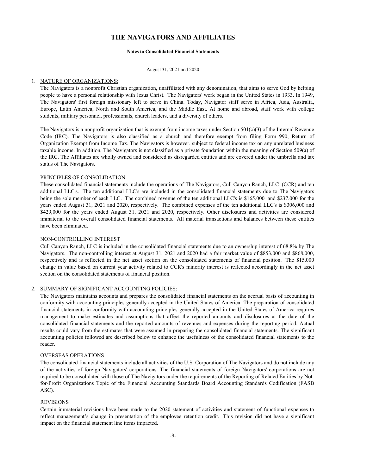#### **Notes to Consolidated Financial Statements**

August 31, 2021 and 2020

### 1. NATURE OF ORGANIZATIONS:

The Navigators is a nonprofit Christian organization, unaffiliated with any denomination, that aims to serve God by helping people to have a personal relationship with Jesus Christ. The Navigators' work began in the United States in 1933. In 1949, The Navigators' first foreign missionary left to serve in China. Today, Navigator staff serve in Africa, Asia, Australia, Europe, Latin America, North and South America, and the Middle East. At home and abroad, staff work with college students, military personnel, professionals, church leaders, and a diversity of others.

The Navigators is a nonprofit organization that is exempt from income taxes under Section  $501(c)(3)$  of the Internal Revenue Code (IRC). The Navigators is also classified as a church and therefore exempt from filing Form 990, Return of Organization Exempt from Income Tax. The Navigators is however, subject to federal income tax on any unrelated business taxable income. In addition, The Navigators is not classified as a private foundation within the meaning of Section 509(a) of the IRC. The Affiliates are wholly owned and considered as disregarded entities and are covered under the umbrella and tax status of The Navigators.

### PRINCIPLES OF CONSOLIDATION

These consolidated financial statements include the operations of The Navigators, Cull Canyon Ranch, LLC (CCR) and ten additional LLC's. The ten additional LLC's are included in the consolidated financial statements due to The Navigators being the sole member of each LLC. The combined revenue of the ten additional LLC's is \$165,000 and \$237,000 for the years ended August 31, 2021 and 2020, respectively. The combined expenses of the ten additional LLC's is \$306,000 and \$429,000 for the years ended August 31, 2021 and 2020, respectively. Other disclosures and activities are considered immaterial to the overall consolidated financial statements. All material transactions and balances between these entities have been eliminated.

#### NON-CONTROLLING INTEREST

Cull Canyon Ranch, LLC is included in the consolidated financial statements due to an ownership interest of 68.8% by The Navigators. The non-controlling interest at August 31, 2021 and 2020 had a fair market value of \$853,000 and \$868,000, respectively and is reflected in the net asset section on the consolidated statements of financial position. The \$15,000 change in value based on current year activity related to CCR's minority interest is reflected accordingly in the net asset section on the consolidated statements of financial position.

## 2. SUMMARY OF SIGNIFICANT ACCOUNTING POLICIES:

The Navigators maintains accounts and prepares the consolidated financial statements on the accrual basis of accounting in conformity with accounting principles generally accepted in the United States of America. The preparation of consolidated financial statements in conformity with accounting principles generally accepted in the United States of America requires management to make estimates and assumptions that affect the reported amounts and disclosures at the date of the consolidated financial statements and the reported amounts of revenues and expenses during the reporting period. Actual results could vary from the estimates that were assumed in preparing the consolidated financial statements. The significant accounting policies followed are described below to enhance the usefulness of the consolidated financial statements to the reader.

#### OVERSEAS OPERATIONS

The consolidated financial statements include all activities of the U.S. Corporation of The Navigators and do not include any of the activities of foreign Navigators' corporations. The financial statements of foreign Navigators' corporations are not required to be consolidated with those of The Navigators under the requirements of the Reporting of Related Entities by Notfor-Profit Organizations Topic of the Financial Accounting Standards Board Accounting Standards Codification (FASB ASC).

#### REVISIONS

Certain immaterial revisions have been made to the 2020 statement of activities and statement of functional expenses to reflect management's change in presentation of the employee retention credit. This revision did not have a significant impact on the financial statement line items impacted.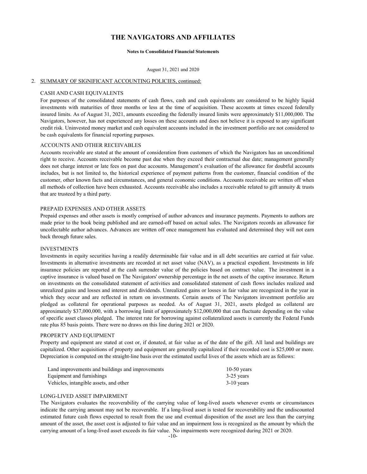#### **Notes to Consolidated Financial Statements**

#### August 31, 2021 and 2020

#### 2. SUMMARY OF SIGNIFICANT ACCOUNTING POLICIES, continued:

### CASH AND CASH EQUIVALENTS

For purposes of the consolidated statements of cash flows, cash and cash equivalents are considered to be highly liquid investments with maturities of three months or less at the time of acquisition. These accounts at times exceed federally insured limits. As of August 31, 2021, amounts exceeding the federally insured limits were approximately \$11,000,000. The Navigators, however, has not experienced any losses on these accounts and does not believe it is exposed to any significant credit risk. Uninvested money market and cash equivalent accounts included in the investment portfolio are not considered to be cash equivalents for financial reporting purposes.

### ACCOUNTS AND OTHER RECEIVABLES

Accounts receivable are stated at the amount of consideration from customers of which the Navigators has an unconditional right to receive. Accounts receivable become past due when they exceed their contractual due date; management generally does not charge interest or late fees on past due accounts. Management's evaluation of the allowance for doubtful accounts includes, but is not limited to, the historical experience of payment patterns from the customer, financial condition of the customer, other known facts and circumstances, and general economic conditions. Accounts receivable are written off when all methods of collection have been exhausted. Accounts receivable also includes a receivable related to gift annuity & trusts that are trusteed by a third party.

### PREPAID EXPENSES AND OTHER ASSETS

Prepaid expenses and other assets is mostly comprised of author advances and insurance payments. Payments to authors are made prior to the book being published and are earned-off based on actual sales. The Navigators records an allowance for uncollectable author advances. Advances are written off once management has evaluated and determined they will not earn back through future sales.

### INVESTMENTS

Investments in equity securities having a readily determinable fair value and in all debt securities are carried at fair value. Investments in alternative investments are recorded at net asset value (NAV), as a practical expedient. Investments in life insurance policies are reported at the cash surrender value of the policies based on contract value. The investment in a captive insurance is valued based on The Navigators' ownership percentage in the net assets of the captive insurance. Return on investments on the consolidated statement of activities and consolidated statement of cash flows includes realized and unrealized gains and losses and interest and dividends. Unrealized gains or losses in fair value are recognized in the year in which they occur and are reflected in return on investments. Certain assets of The Navigators investment portfolio are pledged as collateral for operational purposes as needed. As of August 31, 2021, assets pledged as collateral are approximately \$37,000,000, with a borrowing limit of approximately \$12,000,000 that can fluctuate depending on the value of specific asset classes pledged. The interest rate for borrowing against collateralized assets is currently the Federal Funds rate plus 85 basis points. There were no draws on this line during 2021 or 2020.

#### PROPERTY AND EQUIPMENT

Property and equipment are stated at cost or, if donated, at fair value as of the date of the gift. All land and buildings are capitalized. Other acquisitions of property and equipment are generally capitalized if their recorded cost is \$25,000 or more. Depreciation is computed on the straight-line basis over the estimated useful lives of the assets which are as follows:

| Land improvements and buildings and improvements | $10-50$ years |
|--------------------------------------------------|---------------|
| Equipment and furnishings                        | $3-25$ years  |
| Vehicles, intangible assets, and other           | $3-10$ years  |

#### LONG-LIVED ASSET IMPAIRMENT

The Navigators evaluates the recoverability of the carrying value of long-lived assets whenever events or circumstances indicate the carrying amount may not be recoverable. If a long-lived asset is tested for recoverability and the undiscounted estimated future cash flows expected to result from the use and eventual disposition of the asset are less than the carrying amount of the asset, the asset cost is adjusted to fair value and an impairment loss is recognized as the amount by which the carrying amount of a long-lived asset exceeds its fair value. No impairments were recognized during 2021 or 2020.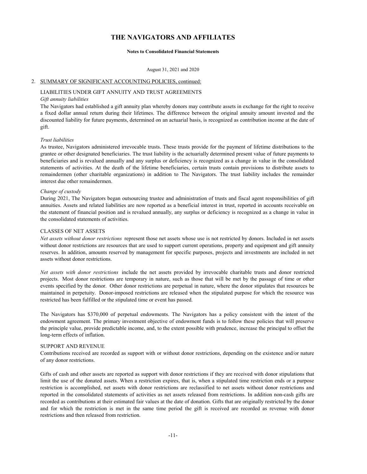#### **Notes to Consolidated Financial Statements**

August 31, 2021 and 2020

#### 2. SUMMARY OF SIGNIFICANT ACCOUNTING POLICIES, continued:

# LIABILITIES UNDER GIFT ANNUITY AND TRUST AGREEMENTS

# *Gift annuity liabilities*

The Navigators had established a gift annuity plan whereby donors may contribute assets in exchange for the right to receive a fixed dollar annual return during their lifetimes. The difference between the original annuity amount invested and the discounted liability for future payments, determined on an actuarial basis, is recognized as contribution income at the date of gift.

#### *Trust liabilities*

As trustee, Navigators administered irrevocable trusts. These trusts provide for the payment of lifetime distributions to the grantee or other designated beneficiaries. The trust liability is the actuarially determined present value of future payments to beneficiaries and is revalued annually and any surplus or deficiency is recognized as a change in value in the consolidated statements of activities. At the death of the lifetime beneficiaries, certain trusts contain provisions to distribute assets to remaindermen (other charitable organizations) in addition to The Navigators. The trust liability includes the remainder interest due other remaindermen.

#### *Change of custody*

During 2021, The Navigators began outsourcing trustee and administration of trusts and fiscal agent responsibilities of gift annuities. Assets and related liabilities are now reported as a beneficial interest in trust, reported in accounts receivable on the statement of financial position and is revalued annually, any surplus or deficiency is recognized as a change in value in the consolidated statements of activities.

### CLASSES OF NET ASSETS

*Net assets without donor restrictions* represent those net assets whose use is not restricted by donors. Included in net assets without donor restrictions are resources that are used to support current operations, property and equipment and gift annuity reserves. In addition, amounts reserved by management for specific purposes, projects and investments are included in net assets without donor restrictions.

*Net assets with donor restrictions* include the net assets provided by irrevocable charitable trusts and donor restricted projects. Most donor restrictions are temporary in nature, such as those that will be met by the passage of time or other events specified by the donor. Other donor restrictions are perpetual in nature, where the donor stipulates that resources be maintained in perpetuity. Donor-imposed restrictions are released when the stipulated purpose for which the resource was restricted has been fulfilled or the stipulated time or event has passed.

The Navigators has \$370,000 of perpetual endowments. The Navigators has a policy consistent with the intent of the endowment agreement. The primary investment objective of endowment funds is to follow these policies that will preserve the principle value, provide predictable income, and, to the extent possible with prudence, increase the principal to offset the long-term effects of inflation.

#### SUPPORT AND REVENUE

Contributions received are recorded as support with or without donor restrictions, depending on the existence and/or nature of any donor restrictions.

Gifts of cash and other assets are reported as support with donor restrictions if they are received with donor stipulations that limit the use of the donated assets. When a restriction expires, that is, when a stipulated time restriction ends or a purpose restriction is accomplished, net assets with donor restrictions are reclassified to net assets without donor restrictions and reported in the consolidated statements of activities as net assets released from restrictions. In addition non-cash gifts are recorded as contributions at their estimated fair values at the date of donation. Gifts that are originally restricted by the donor and for which the restriction is met in the same time period the gift is received are recorded as revenue with donor restrictions and then released from restriction.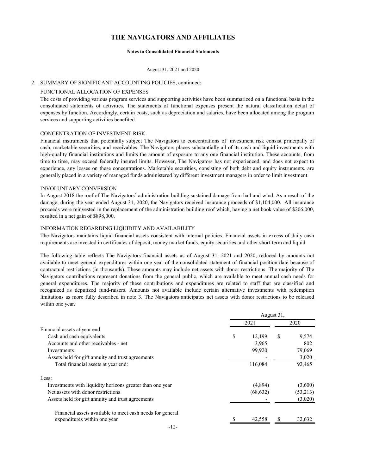#### **Notes to Consolidated Financial Statements**

#### August 31, 2021 and 2020

## 2. SUMMARY OF SIGNIFICANT ACCOUNTING POLICIES, continued:

#### FUNCTIONAL ALLOCATION OF EXPENSES

The costs of providing various program services and supporting activities have been summarized on a functional basis in the consolidated statements of activities. The statements of functional expenses present the natural classification detail of expenses by function. Accordingly, certain costs, such as depreciation and salaries, have been allocated among the program services and supporting activities benefited.

#### CONCENTRATION OF INVESTMENT RISK

Financial instruments that potentially subject The Navigators to concentrations of investment risk consist principally of cash, marketable securities, and receivables. The Navigators places substantially all of its cash and liquid investments with high-quality financial institutions and limits the amount of exposure to any one financial institution. These accounts, from time to time, may exceed federally insured limits. However, The Navigators has not experienced, and does not expect to experience, any losses on these concentrations. Marketable securities, consisting of both debt and equity instruments, are generally placed in a variety of managed funds administered by different investment managers in order to limit investment

#### INVOLUNTARY CONVERSION

In August 2018 the roof of The Navigators' administration building sustained damage from hail and wind. As a result of the damage, during the year ended August 31, 2020, the Navigators received insurance proceeds of \$1,104,000. All insurance proceeds were reinvested in the replacement of the administration building roof which, having a net book value of \$206,000, resulted in a net gain of \$898,000.

## INFORMATION REGARDING LIQUIDITY AND AVAILABILITY

The Navigators maintains liquid financial assets consistent with internal policies. Financial assets in excess of daily cash requirements are invested in certificates of deposit, money market funds, equity securities and other short-term and liquid

The following table reflects The Navigators financial assets as of August 31, 2021 and 2020, reduced by amounts not available to meet general expenditures within one year of the consolidated statement of financial position date because of contractual restrictions (in thousands). These amounts may include net assets with donor restrictions. The majority of The Navigators contributions represent donations from the general public, which are available to meet annual cash needs for general expenditures. The majority of these contributions and expenditures are related to staff that are classified and recognized as deputized fund-raisers. Amounts not available include certain alternative investments with redemption limitations as more fully described in note 3. The Navigators anticipates net assets with donor restrictions to be released within one year.

|                                                           |              | August 31, |          |
|-----------------------------------------------------------|--------------|------------|----------|
|                                                           | 2021         |            | 2020     |
| Financial assets at year end:                             |              |            |          |
| Cash and cash equivalents                                 | \$<br>12.199 | S          | 9,574    |
| Accounts and other receivables - net                      | 3,965        |            | 802      |
| Investments                                               | 99,920       |            | 79,069   |
| Assets held for gift annuity and trust agreements         |              |            | 3,020    |
| Total financial assets at year end:                       | 116,084      |            | 92,465   |
| Less:                                                     |              |            |          |
| Investments with liquidity horizons greater than one year | (4,894)      |            | (3,600)  |
| Net assets with donor restrictions                        | (68, 632)    |            | (53,213) |
| Assets held for gift annuity and trust agreements         |              |            | (3,020)  |
| Financial assets available to meet cash needs for general |              |            |          |
| expenditures within one year                              | 42,558       |            | 32,632   |
|                                                           |              |            |          |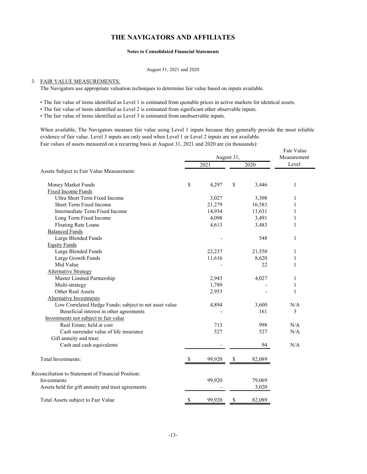#### **Notes to Consolidated Financial Statements**

#### August 31, 2021 and 2020

### 3. FAIR VALUE MEASUREMENTS:

The Navigators use appropriate valuation techniques to determine fair value based on inputs available.

• The fair value of items identified as Level 1 is estimated from quotable prices in active markets for identical assets.

• The fair value of items identified as Level 2 is estimated from significant other observable inputs.

• The fair value of items identified as Level 3 is estimated from unobservable inputs.

When available, The Navigators measure fair value using Level 1 inputs because they generally provide the most reliable evidence of fair value. Level 3 inputs are only used when Level 1 or Level 2 inputs are not available. Fair values of assets measured on a recurring basis at August 31, 2021 and 2020 are (in thousands):

|                                                        |    |        | August 31, |        | Fair Value<br>Measurement |
|--------------------------------------------------------|----|--------|------------|--------|---------------------------|
|                                                        |    | 2021   |            | 2020   | Level                     |
| Assets Subject to Fair Value Measurement:              |    |        |            |        |                           |
| Money Market Funds                                     | \$ | 4,297  | \$         | 3,446  | 1                         |
| <b>Fixed Income Funds</b>                              |    |        |            |        |                           |
| Ultra Short Term Fixed Income                          |    | 3,027  |            | 3,308  | 1                         |
| Short Term Fixed Income                                |    | 21,279 |            | 16,583 | 1                         |
| Intermediate Term Fixed Income                         |    | 14,934 |            | 11,631 | 1                         |
| Long Term Fixed Income                                 |    | 4,098  |            | 3,491  | 1                         |
| <b>Floating Rate Loans</b>                             |    | 4,613  |            | 3,483  | 1                         |
| <b>Balanced Funds</b>                                  |    |        |            |        |                           |
| Large Blended Funds                                    |    |        |            | 548    | 1                         |
| <b>Equity Funds</b>                                    |    |        |            |        |                           |
| Large Blended Funds                                    |    | 22,237 |            | 21,550 | 1                         |
| Large Growth Funds                                     |    | 11,616 |            | 8,620  | 1                         |
| Mid Value                                              |    |        |            | 22     | 1                         |
| <b>Alternative Strategy</b>                            |    |        |            |        |                           |
| Master Limited Partnership                             |    | 2,943  |            | 4,027  | 1                         |
| Multi-strategy                                         |    | 1,789  |            |        | 1                         |
| Other Real Assets                                      |    | 2,953  |            |        | $\mathbf{1}$              |
| <b>Alternative Investments</b>                         |    |        |            |        |                           |
| Low Correlated Hedge Funds; subject to net asset value |    | 4,894  |            | 3,600  | N/A                       |
| Beneficial interest in other agreements                |    |        |            | 161    | 3                         |
| Investments not subject to fair value                  |    |        |            |        |                           |
| Real Estate; held at cost                              |    | 713    |            | 998    | N/A                       |
| Cash surrender value of life insurance                 |    | 527    |            | 527    | N/A                       |
| Gift annuity and trust:                                |    |        |            |        |                           |
| Cash and cash equivalents                              |    |        |            | 94     | N/A                       |
| Total Investments:                                     | -S | 99,920 | \$         | 82,089 |                           |
| Reconciliation to Statement of Financial Position:     |    |        |            |        |                           |
| Investments                                            |    | 99,920 |            | 79,069 |                           |
| Assets held for gift annuity and trust agreements      |    |        |            | 3,020  |                           |
| Total Assets subject to Fair Value                     | \$ | 99,920 | \$         | 82,089 |                           |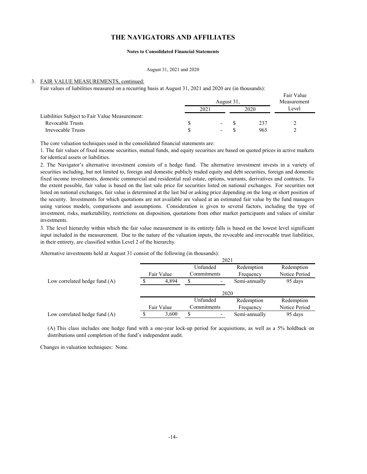#### **Notes to Consolidated Financial Statements**

#### August 31, 2021 and 2020

#### 3. FAIR VALUE MEASUREMENTS, continued:

Fair values of liabilities measured on a recurring basis at August 31, 2021 and 2020 are (in thousands):

|                                                |     |                          | August 31, |      | ган уанны<br>Measurement |  |
|------------------------------------------------|-----|--------------------------|------------|------|--------------------------|--|
|                                                | 202 |                          |            | 2020 | Level                    |  |
| Liabilities Subject to Fair Value Measurement: |     |                          |            |      |                          |  |
| Revocable Trusts                               |     | $\overline{\phantom{a}}$ |            | 237  |                          |  |
| Irrevocable Trusts                             |     | $\overline{\phantom{a}}$ |            | 965  | ↑                        |  |

Fair Value

The core valuation techniques used in the consolidated financial statements are:

1. The fair values of fixed income securities, mutual funds, and equity securities are based on quoted prices in active markets for identical assets or liabilities.

2. The Navigator's alternative investment consists of a hedge fund. The alternative investment invests in a variety of securities including, but not limited to, foreign and domestic publicly traded equity and debt securities, foreign and domestic fixed income investments, domestic commercial and residential real estate, options, warrants, derivatives and contracts. To the extent possible, fair value is based on the last sale price for securities listed on national exchanges. For securities not listed on national exchanges, fair value is determined at the last bid or asking price depending on the long or short position of the security. Investments for which quotations are not available are valued at an estimated fair value by the fund managers using various models, comparisons and assumptions. Consideration is given to several factors, including the type of investment, risks, marketability, restrictions on disposition, quotations from other market participants and values of similar investments.

3. The level hierarchy within which the fair value measurement in its entirety falls is based on the lowest level significant input included in the measurement. Due to the nature of the valuation inputs, the revocable and irrevocable trust liabilities, in their entirety, are classified within Level 2 of the hierarchy.

Alternative investments held at August 31 consist of the following (in thousands):

|                                 |            |   | 2021        |               |               |
|---------------------------------|------------|---|-------------|---------------|---------------|
|                                 |            |   | Unfunded    | Redemption    | Redemption    |
|                                 | Fair Value |   | Commitments | Frequency     | Notice Period |
| Low correlated hedge fund $(A)$ | 4.894      | S |             | Semi-annually | 95 days       |
|                                 |            |   | 2020        |               |               |
|                                 |            |   | Unfunded    | Redemption    | Redemption    |
|                                 | Fair Value |   | Commitments | Frequency     | Notice Period |
| Low correlated hedge fund $(A)$ | 3,600      | S |             | Semi-annually | 95 days       |

(A) This class includes one hedge fund with a one-year lock-up period for acquisitions, as well as a 5% holdback on distributions until completion of the fund's independent audit.

Changes in valuation techniques: None.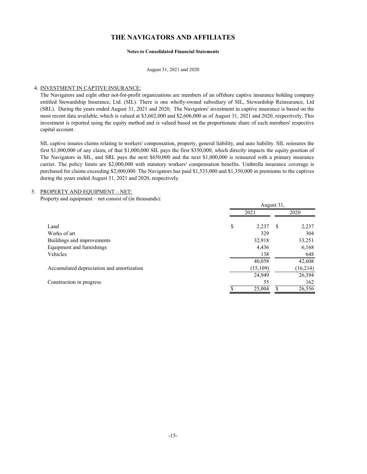#### **Notes to Consolidated Financial Statements**

August 31, 2021 and 2020

### 4. INVESTMENT IN CAPTIVE INSURANCE:

The Navigators and eight other not-for-profit organizations are members of an offshore captive insurance holding company entitled Stewardship Insurance, Ltd. (SIL). There is one wholly-owned subsidiary of SIL, Stewardship Reinsurance, Ltd (SRL). During the years ended August 31, 2021 and 2020, The Navigators' investment in captive insurance is based on the most recent data available, which is valued at \$3,602,000 and \$2,606,000 as of August 31, 2021 and 2020, respectively. This investment is reported using the equity method and is valued based on the proportionate share of each members' respective capital account.

SIL captive insures claims relating to workers' compensation, property, general liability, and auto liability. SIL reinsures the first \$1,000,000 of any claim, of that \$1,000,000 SIL pays the first \$350,000, which directly impacts the equity position of The Navigators in SIL, and SRL pays the next \$650,000 and the next \$1,000,000 is reinsured with a primary insurance carrier. The policy limits are \$2,000,000 with statutory workers' compensation benefits. Umbrella insurance coverage is purchased for claims exceeding \$2,000,000. The Navigators has paid \$1,533,000 and \$1,350,000 in premiums to the captives during the years ended August 31, 2021 and 2020, respectively.

#### 5. PROPERTY AND EQUIPMENT – NET:

Property and equipment – net consist of (in thousands):

|                                           |      | August 31, |      |           |  |
|-------------------------------------------|------|------------|------|-----------|--|
|                                           | 2021 |            | 2020 |           |  |
| Land                                      | \$   | 2,237      | S    | 2,237     |  |
| Works of art                              |      | 329        |      | 304       |  |
| Buildings and improvements                |      | 32,918     |      | 33,251    |  |
| Equipment and furnishings                 |      | 4,436      |      | 6,168     |  |
| Vehicles                                  |      | 138        |      | 648       |  |
|                                           |      | 40,058     |      | 42,608    |  |
| Accumulated depreciation and amortization |      | (15,109)   |      | (16, 214) |  |
|                                           |      | 24,949     |      | 26,394    |  |
| Construction in progress                  |      | 55         |      | 162       |  |
|                                           |      | 25,004     |      | 26,556    |  |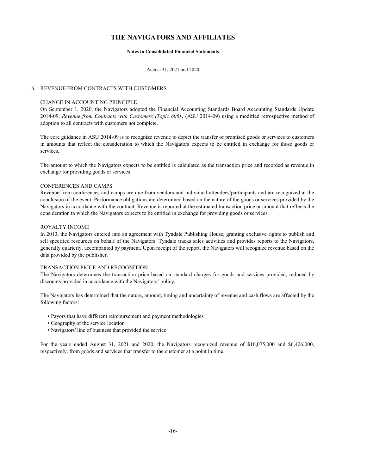#### **Notes to Consolidated Financial Statements**

August 31, 2021 and 2020

### 6. REVENUE FROM CONTRACTS WITH CUSTOMERS

### CHANGE IN ACCOUNTING PRINCIPLE

On September 1, 2020, the Navigators adopted the Financial Accounting Standards Board Accounting Standards Update 2014-09, *Revenue from Contracts with Customers (Topic 606)* , (ASU 2014-09) using a modified retrospective method of adoption to all contracts with customers not complete.

The core guidance in ASU 2014-09 is to recognize revenue to depict the transfer of promised goods or services to customers in amounts that reflect the consideration to which the Navigators expects to be entitled in exchange for those goods or services.

The amount to which the Navigators expects to be entitled is calculated as the transaction price and recorded as revenue in exchange for providing goods or services.

### CONFERENCES AND CAMPS

Revenue from conferences and camps are due from vendors and individual attendees/participants and are recognized at the conclusion of the event. Performance obligations are determined based on the nature of the goods or services provided by the Navigators in accordance with the contract. Revenue is reported at the estimated transaction price or amount that reflects the consideration to which the Navigators expects to be entitled in exchange for providing goods or services.

### ROYALTY INCOME

In 2013, the Navigators entered into an agreement with Tyndale Publishing House, granting exclusive rights to publish and sell specified resources on behalf of the Navigators. Tyndale tracks sales activities and provides reports to the Navigators, generally quarterly, accompanied by payment. Upon receipt of the report, the Navigators will recognize revenue based on the data provided by the publisher.

#### TRANSACTION PRICE AND RECOGNITION

The Navigators determines the transaction price based on standard charges for goods and services provided, reduced by discounts provided in accordance with the Navigators' policy.

The Navigators has determined that the nature, amount, timing and uncertainty of revenue and cash flows are affected by the following factors:

- Payors that have different reimbursement and payment methodologies
- Geography of the service location
- Navigators' line of business that provided the service

For the years ended August 31, 2021 and 2020, the Navigators recognized revenue of \$10,075,000 and \$6,426,000, respectively, from goods and services that transfer to the customer at a point in time.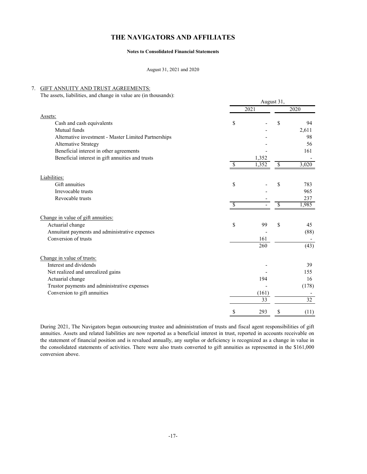#### **Notes to Consolidated Financial Statements**

August 31, 2021 and 2020

#### 7. GIFT ANNUITY AND TRUST AGREEMENTS:

The assets, liabilities, and change in value are (in thousands):

|                                                      | August 31,    |       |    |       |
|------------------------------------------------------|---------------|-------|----|-------|
|                                                      |               | 2021  |    | 2020  |
| Assets:                                              |               |       |    |       |
| Cash and cash equivalents                            | \$            |       | \$ | 94    |
| Mutual funds                                         |               |       |    | 2,611 |
| Alternative investment - Master Limited Partnerships |               |       |    | 98    |
| Alternative Strategy                                 |               |       |    | 56    |
| Beneficial interest in other agreements              |               |       |    | 161   |
| Beneficial interest in gift annuities and trusts     |               | 1,352 |    |       |
|                                                      |               | 1.352 | \$ | 3,020 |
| Liabilities:                                         |               |       |    |       |
| Gift annuities                                       | \$            |       | S  | 783   |
| Irrevocable trusts                                   |               |       |    | 965   |
| Revocable trusts                                     |               |       |    | 237   |
|                                                      | S             |       | \$ | 1,985 |
| Change in value of gift annuities:                   |               |       |    |       |
| Actuarial change                                     | <sup>\$</sup> | 99    | \$ | 45    |
| Annuitant payments and administrative expenses       |               |       |    | (88)  |
| Conversion of trusts                                 |               | 161   |    |       |
|                                                      |               | 260   |    | (43)  |
| Change in value of trusts:                           |               |       |    |       |
| Interest and dividends                               |               |       |    | 39    |
| Net realized and unrealized gains                    |               |       |    | 155   |
| Actuarial change                                     |               | 194   |    | 16    |
| Trustor payments and administrative expenses         |               |       |    | (178) |
| Conversion to gift annuities                         |               | (161) |    |       |
|                                                      |               | 33    |    | 32    |
|                                                      | S             | 293   | S  | (11)  |

During 2021, The Navigators began outsourcing trustee and administration of trusts and fiscal agent responsibilities of gift annuities. Assets and related liabilities are now reported as a beneficial interest in trust, reported in accounts receivable on the statement of financial position and is revalued annually, any surplus or deficiency is recognized as a change in value in the consolidated statements of activities. There were also trusts converted to gift annuities as represented in the \$161,000 conversion above.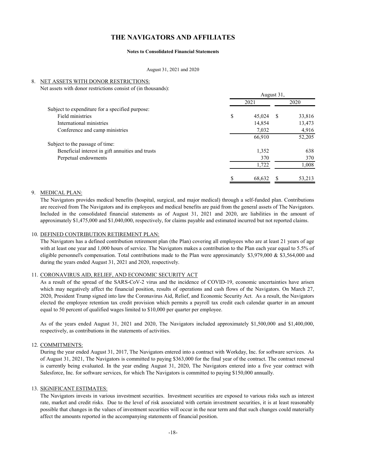#### **Notes to Consolidated Financial Statements**

August 31, 2021 and 2020

#### 8. NET ASSETS WITH DONOR RESTRICTIONS:

Net assets with donor restrictions consist of (in thousands):

|                                                  | August 31, |        |      |        |
|--------------------------------------------------|------------|--------|------|--------|
|                                                  | 2021       |        | 2020 |        |
| Subject to expenditure for a specified purpose:  |            |        |      |        |
| Field ministries                                 | \$         | 45,024 | - \$ | 33,816 |
| International ministries                         |            | 14,854 |      | 13,473 |
| Conference and camp ministries                   |            | 7,032  |      | 4,916  |
|                                                  |            | 66,910 |      | 52,205 |
| Subject to the passage of time:                  |            |        |      |        |
| Beneficial interest in gift annuities and trusts |            | 1,352  |      | 638    |
| Perpetual endowments                             |            | 370    |      | 370    |
|                                                  |            | 1,722  |      | 1,008  |
|                                                  | \$         | 68.632 |      | 53,213 |

#### 9. MEDICAL PLAN:

The Navigators provides medical benefits (hospital, surgical, and major medical) through a self-funded plan. Contributions are received from The Navigators and its employees and medical benefits are paid from the general assets of The Navigators. Included in the consolidated financial statements as of August 31, 2021 and 2020, are liabilities in the amount of approximately \$1,475,000 and \$1,040,000, respectively, for claims payable and estimated incurred but not reported claims.

### 10. DEFINED CONTRIBUTION RETIREMENT PLAN:

The Navigators has a defined contribution retirement plan (the Plan) covering all employees who are at least 21 years of age with at least one year and 1,000 hours of service. The Navigators makes a contribution to the Plan each year equal to 5.5% of eligible personnel's compensation. Total contributions made to the Plan were approximately \$3,979,000 & \$3,564,000 and during the years ended August 31, 2021 and 2020, respectively.

## 11. CORONAVIRUS AID, RELIEF, AND ECONOMIC SECURITY ACT

As a result of the spread of the SARS-CoV-2 virus and the incidence of COVID-19, economic uncertainties have arisen which may negatively affect the financial position, results of operations and cash flows of the Navigators. On March 27, 2020, President Trump signed into law the Coronavirus Aid, Relief, and Economic Security Act. As a result, the Navigators elected the employee retention tax credit provision which permits a payroll tax credit each calendar quarter in an amount equal to 50 percent of qualified wages limited to \$10,000 per quarter per employee.

As of the years ended August 31, 2021 and 2020, The Navigators included approximately \$1,500,000 and \$1,400,000, respectively, as contributions in the statements of activities.

#### 12. COMMITMENTS:

During the year ended August 31, 2017, The Navigators entered into a contract with Workday, Inc. for software services. As of August 31, 2021, The Navigators is committed to paying \$363,000 for the final year of the contract. The contract renewal is currently being evaluated. In the year ending August 31, 2020, The Navigators entered into a five year contract with Salesforce, Inc. for software services, for which The Navigators is committed to paying \$150,000 annually.

### 13. SIGNIFICANT ESTIMATES:

The Navigators invests in various investment securities. Investment securities are exposed to various risks such as interest rate, market and credit risks. Due to the level of risk associated with certain investment securities, it is at least reasonably possible that changes in the values of investment securities will occur in the near term and that such changes could materially affect the amounts reported in the accompanying statements of financial position.